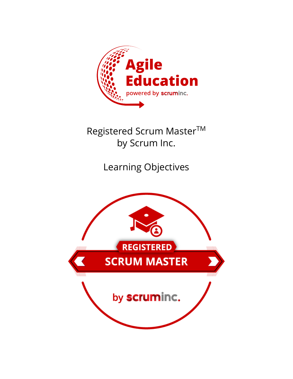

Registered Scrum Master™ by Scrum Inc.

Learning Objectives

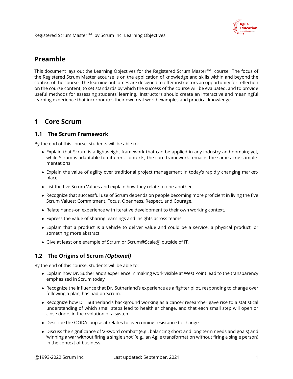

# **Preamble**

This document lays out the Learning Objectives for the Registered Scrum Master™ course. The focus of the Registered Scrum Master acourse is on the application of knowledge and skills within and beyond the context of the course. The learning outcomes are designed to offer instructors an opportunity for reflection on the course content, to set standards by which the success of the course will be evaluated, and to provide useful methods for assessing students' learning. Instructors should create an interactive and meaningful learning experience that incorporates their own real-world examples and practical knowledge.

# **1 Core Scrum**

## **1.1 The Scrum Framework**

By the end of this course, students will be able to:

- Explain that Scrum is a lightweight framework that can be applied in any industry and domain; yet, while Scrum is adaptable to different contexts, the core framework remains the same across implementations.
- Explain the value of agility over traditional project management in today's rapidly changing marketplace.
- List the five Scrum Values and explain how they relate to one another.
- Recognize that successful use of Scrum depends on people becoming more proficient in living the five Scrum Values: Commitment, Focus, Openness, Respect, and Courage.
- Relate hands-on experience with iterative development to their own working context.
- Express the value of sharing learnings and insights across teams.
- Explain that a product is a vehicle to deliver value and could be a service, a physical product, or something more abstract.
- Give at least one example of Scrum or Scrum@Scale® outside of IT.

## **1.2 The Origins of Scrum** *(Optional)*

- Explain how Dr. Sutherland's experience in making work visible at West Point lead to the transparency emphasized in Scrum today.
- Recognize the influence that Dr. Sutherland's experience as a fighter pilot, responding to change over following a plan, has had on Scrum.
- Recognize how Dr. Sutherland's background working as a cancer researcher gave rise to a statistical understanding of which small steps lead to healthier change, and that each small step will open or close doors in the evolution of a system.
- Describe the OODA loop as it relates to overcoming resistance to change.
- Discuss the significance of '2-sword combat' (e.g., balancing short and long term needs and goals) and 'winning a war without firing a single shot' (e.g., an Agile transformation without firing a single person) in the context of business.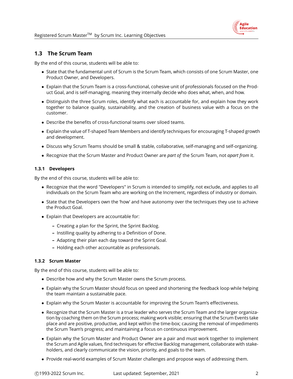## **1.3 The Scrum Team**

By the end of this course, students will be able to:

- State that the fundamental unit of Scrum is the Scrum Team, which consists of one Scrum Master, one Product Owner, and Developers.
- Explain that the Scrum Team is a cross-functional, cohesive unit of professionals focused on the Product Goal, and is self-managing, meaning they internally decide who does what, when, and how.
- Distinguish the three Scrum roles, identify what each is accountable for, and explain how they work together to balance quality, sustainability, and the creation of business value with a focus on the customer.
- Describe the benefits of cross-functional teams over siloed teams.
- Explain the value of T-shaped Team Members and identify techniques for encouraging T-shaped growth and development.
- Discuss why Scrum Teams should be small & stable, collaborative, self-managing and self-organizing.
- Recognize that the Scrum Master and Product Owner are *part of* the Scrum Team, not *apart from* it.

### **1.3.1 Developers**

By the end of this course, students will be able to:

- Recognize that the word "Developers" in Scrum is intended to simplify, not exclude, and applies to all individuals on the Scrum Team who are working on the Increment, regardless of industry or domain.
- State that the Developers own the 'how' and have autonomy over the techniques they use to achieve the Product Goal.
- Explain that Developers are accountable for:
	- **–** Creating a plan for the Sprint, the Sprint Backlog.
	- **–** Instilling quality by adhering to a Definition of Done.
	- **–** Adapting their plan each day toward the Sprint Goal.
	- **–** Holding each other accountable as professionals.

### **1.3.2 Scrum Master**

- Describe how and why the Scrum Master owns the Scrum process.
- Explain why the Scrum Master should focus on speed and shortening the feedback loop while helping the team maintain a sustainable pace.
- Explain why the Scrum Master is accountable for improving the Scrum Team's effectiveness.
- Recognize that the Scrum Master is a true leader who serves the Scrum Team and the larger organization by coaching them on the Scrum process; making work visible; ensuring that the Scrum Events take place and are positive, productive, and kept within the time-box; causing the removal of impediments the Scrum Team's progress; and maintaining a focus on continuous improvement.
- Explain why the Scrum Master and Product Owner are a pair and must work together to implement the Scrum and Agile values, find techniques for effective Backlog management, collaborate with stakeholders, and clearly communicate the vision, priority, and goals to the team.
- Provide real-world examples of Scrum Master challenges and propose ways of addressing them.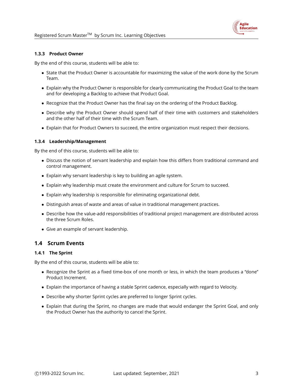### **1.3.3 Product Owner**

By the end of this course, students will be able to:

- State that the Product Owner is accountable for maximizing the value of the work done by the Scrum Team.
- Explain why the Product Owner is responsible for clearly communicating the Product Goal to the team and for developing a Backlog to achieve that Product Goal.
- Recognize that the Product Owner has the final say on the ordering of the Product Backlog.
- Describe why the Product Owner should spend half of their time with customers and stakeholders and the other half of their time with the Scrum Team.
- Explain that for Product Owners to succeed, the entire organization must respect their decisions.

### **1.3.4 Leadership/Management**

By the end of this course, students will be able to:

- Discuss the notion of servant leadership and explain how this differs from traditional command and control management.
- Explain why servant leadership is key to building an agile system.
- Explain why leadership must create the environment and culture for Scrum to succeed.
- Explain why leadership is responsible for eliminating organizational debt.
- Distinguish areas of waste and areas of value in traditional management practices.
- Describe how the value-add responsibilities of traditional project management are distributed across the three Scrum Roles.
- Give an example of servant leadership.

### **1.4 Scrum Events**

#### **1.4.1 The Sprint**

- Recognize the Sprint as a fixed time-box of one month or less, in which the team produces a "done" Product Increment.
- Explain the importance of having a stable Sprint cadence, especially with regard to Velocity.
- Describe why shorter Sprint cycles are preferred to longer Sprint cycles.
- Explain that during the Sprint, no changes are made that would endanger the Sprint Goal, and only the Product Owner has the authority to cancel the Sprint.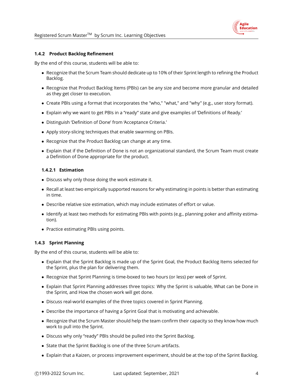

#### **1.4.2 Product Backlog Refinement**

By the end of this course, students will be able to:

- Recognize that the Scrum Team should dedicate up to 10% of their Sprint length to refining the Product Backlog.
- Recognize that Product Backlog Items (PBIs) can be any size and become more granular and detailed as they get closer to execution.
- Create PBIs using a format that incorporates the "who," "what," and "why" (e.g., user story format).
- Explain why we want to get PBIs in a "ready" state and give examples of 'Definitions of Ready.'
- Distinguish 'Definition of Done' from 'Acceptance Criteria.'
- Apply story-slicing techniques that enable swarming on PBIs.
- Recognize that the Product Backlog can change at any time.
- Explain that if the Definition of Done is not an organizational standard, the Scrum Team must create a Definition of Done appropriate for the product.

### **1.4.2.1 Estimation**

- Discuss why only those doing the work estimate it.
- Recall at least two empirically supported reasons for why estimating in points is better than estimating in time.
- Describe relative size estimation, which may include estimates of effort or value.
- Identify at least two methods for estimating PBIs with points (e.g., planning poker and affinity estimation).
- Practice estimating PBIs using points.

### **1.4.3 Sprint Planning**

- Explain that the Sprint Backlog is made up of the Sprint Goal, the Product Backlog Items selected for the Sprint, plus the plan for delivering them.
- Recognize that Sprint Planning is time-boxed to two hours (or less) per week of Sprint.
- Explain that Sprint Planning addresses three topics: Why the Sprint is valuable, What can be Done in the Sprint, and How the chosen work will get done.
- Discuss real-world examples of the three topics covered in Sprint Planning.
- Describe the importance of having a Sprint Goal that is motivating and achievable.
- Recognize that the Scrum Master should help the team confirm their capacity so they know how much work to pull into the Sprint.
- Discuss why only "ready" PBIs should be pulled into the Sprint Backlog.
- State that the Sprint Backlog is one of the three Scrum artifacts.
- Explain that a Kaizen, or process improvement experiment, should be at the top of the Sprint Backlog.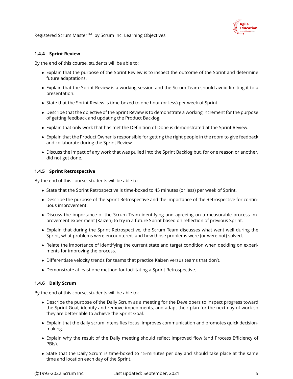#### **1.4.4 Sprint Review**

By the end of this course, students will be able to:

- Explain that the purpose of the Sprint Review is to inspect the outcome of the Sprint and determine future adaptations.
- Explain that the Sprint Review is a working session and the Scrum Team should avoid limiting it to a presentation.
- State that the Sprint Review is time-boxed to one hour (or less) per week of Sprint.
- Describe that the objective of the Sprint Review is to demonstrate a working increment for the purpose of getting feedback and updating the Product Backlog.
- Explain that only work that has met the Definition of Done is demonstrated at the Sprint Review.
- Explain that the Product Owner is responsible for getting the right people in the room to give feedback and collaborate during the Sprint Review.
- Discuss the impact of any work that was pulled into the Sprint Backlog but, for one reason or another, did not get done.

### **1.4.5 Sprint Retrospective**

By the end of this course, students will be able to:

- State that the Sprint Retrospective is time-boxed to 45 minutes (or less) per week of Sprint.
- Describe the purpose of the Sprint Retrospective and the importance of the Retrospective for continuous improvement.
- Discuss the importance of the Scrum Team identifying and agreeing on a measurable process improvement experiment (Kaizen) to try in a future Sprint based on reflection of previous Sprint.
- Explain that during the Sprint Retrospective, the Scrum Team discusses what went well during the Sprint, what problems were encountered, and how those problems were (or were not) solved.
- Relate the importance of identifying the current state and target condition when deciding on experiments for improving the process.
- Differentiate velocity trends for teams that practice Kaizen versus teams that don't.
- Demonstrate at least one method for facilitating a Sprint Retrospective.

#### **1.4.6 Daily Scrum**

- Describe the purpose of the Daily Scrum as a meeting for the Developers to inspect progress toward the Sprint Goal, identify and remove impediments, and adapt their plan for the next day of work so they are better able to achieve the Sprint Goal.
- Explain that the daily scrum intensifies focus, improves communication and promotes quick decisionmaking.
- Explain why the result of the Daily meeting should reflect improved flow (and Process Efficiency of PBIs).
- State that the Daily Scrum is time-boxed to 15-minutes per day and should take place at the same time and location each day of the Sprint.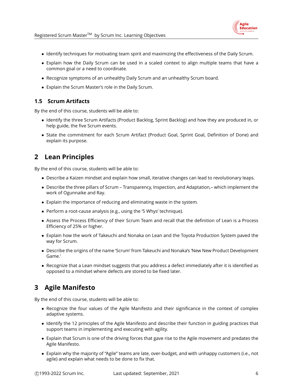

Registered Scrum Master™ by Scrum Inc. Learning Objectives

- Identify techniques for motivating team spirit and maximizing the effectiveness of the Daily Scrum.
- Explain how the Daily Scrum can be used in a scaled context to align multiple teams that have a common goal or a need to coordinate.
- Recognize symptoms of an unhealthy Daily Scrum and an unhealthy Scrum board.
- Explain the Scrum Master's role in the Daily Scrum.

## **1.5 Scrum Artifacts**

By the end of this course, students will be able to:

- Identify the three Scrum Artifacts (Product Backlog, Sprint Backlog) and how they are produced in, or help guide, the five Scrum events.
- State the commitment for each Scrum Artifact (Product Goal, Sprint Goal, Definition of Done) and explain its purpose.

# **2 Lean Principles**

By the end of this course, students will be able to:

- Describe a Kaizen mindset and explain how small, iterative changes can lead to revolutionary leaps.
- Describe the three pillars of Scrum Transparency, Inspection, and Adaptation,– which implement the work of Ogunnaike and Ray.
- Explain the importance of reducing and eliminating waste in the system.
- Perform a root-cause analysis (e.g., using the '5 Whys' technique).
- Assess the Process Efficiency of their Scrum Team and recall that the definition of Lean is a Process Efficiency of 25% or higher.
- Explain how the work of Takeuchi and Nonaka on Lean and the Toyota Production System paved the way for Scrum.
- Describe the origins of the name 'Scrum' from Takeuchi and Nonaka's 'New New Product Development Game.'
- Recognize that a Lean mindset suggests that you address a defect immediately after it is identified as opposed to a mindset where defects are stored to be fixed later.

# **3 Agile Manifesto**

- Recognize the four values of the Agile Manifesto and their significance in the context of complex adaptive systems.
- Identify the 12 principles of the Agile Manifesto and describe their function in guiding practices that support teams in implementing and executing with agility.
- Explain that Scrum is one of the driving forces that gave rise to the Agile movement and predates the Agile Manifesto.
- Explain why the majority of "Agile" teams are late, over-budget, and with unhappy customers (i.e., not agile) and explain what needs to be done to fix that.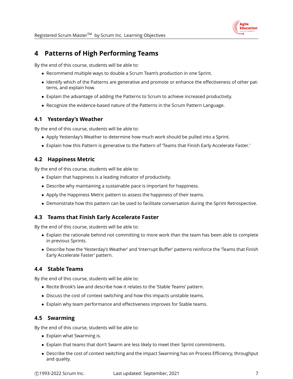

Registered Scrum Master™ by Scrum Inc. Learning Objectives

# **4 Patterns of High Performing Teams**

By the end of this course, students will be able to:

- Recommend multiple ways to double a Scrum Team's production in one Sprint.
- Identify which of the Patterns are generative and promote or enhance the effectiveness of other patterns, and explain how.
- Explain the advantage of adding the Patterns to Scrum to achieve increased productivity.
- Recognize the evidence-based nature of the Patterns in the Scrum Pattern Language.

### **4.1 Yesterday's Weather**

By the end of this course, students will be able to:

- Apply Yesterday's Weather to determine how much work should be pulled into a Sprint.
- Explain how this Pattern is generative to the Pattern of 'Teams that Finish Early Accelerate Faster.'

### **4.2 Happiness Metric**

By the end of this course, students will be able to:

- Explain that happiness is a leading indicator of productivity.
- Describe why maintaining a sustainable pace is important for happiness.
- Apply the Happiness Metric pattern to assess the happiness of their teams.
- Demonstrate how this pattern can be used to facilitate conversation during the Sprint Retrospective.

## **4.3 Teams that Finish Early Accelerate Faster**

By the end of this course, students will be able to:

- Explain the rationale behind not committing to more work than the team has been able to complete in previous Sprints.
- Describe how the 'Yesterday's Weather' and 'Interrupt Buffer' patterns reinforce the 'Teams that Finish Early Accelerate Faster' pattern.

## **4.4 Stable Teams**

By the end of this course, students will be able to:

- Recite Brook's law and describe how it relates to the 'Stable Teams' pattern.
- Discuss the cost of context switching and how this impacts unstable teams.
- Explain why team performance and effectiveness improves for Stable teams.

### **4.5 Swarming**

- Explain what Swarming is.
- Explain that teams that don't Swarm are less likely to meet their Sprint commitments.
- Describe the cost of context switching and the impact Swarming has on Process Efficiency, throughput and quality.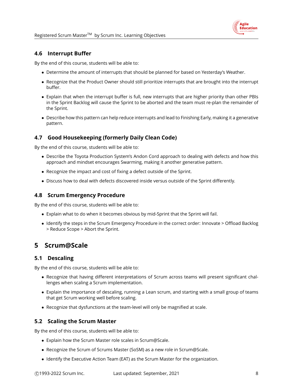

### **4.6 Interrupt Buffer**

By the end of this course, students will be able to:

- Determine the amount of interrupts that should be planned for based on Yesterday's Weather.
- Recognize that the Product Owner should still prioritize interrupts that are brought into the interrupt buffer.
- Explain that when the interrupt buffer is full, new interrupts that are higher priority than other PBIs in the Sprint Backlog will cause the Sprint to be aborted and the team must re-plan the remainder of the Sprint.
- Describe how this pattern can help reduce interrupts and lead to Finishing Early, making it a generative pattern.

## **4.7 Good Housekeeping (formerly Daily Clean Code)**

By the end of this course, students will be able to:

- Describe the Toyota Production System's Andon Cord approach to dealing with defects and how this approach and mindset encourages Swarming, making it another generative pattern.
- Recognize the impact and cost of fixing a defect outside of the Sprint.
- Discuss how to deal with defects discovered inside versus outside of the Sprint differently.

### **4.8 Scrum Emergency Procedure**

By the end of this course, students will be able to:

- Explain what to do when it becomes obvious by mid-Sprint that the Sprint will fail.
- Identify the steps in the Scrum Emergency Procedure in the correct order: Innovate > Offload Backlog > Reduce Scope > Abort the Sprint.

# **5 Scrum@Scale**

### **5.1 Descaling**

By the end of this course, students will be able to:

- Recognize that having different interpretations of Scrum across teams will present significant challenges when scaling a Scrum implementation.
- Explain the importance of descaling, running a Lean scrum, and starting with a small group of teams that get Scrum working well before scaling.
- Recognize that dysfunctions at the team-level will only be magnified at scale.

## **5.2 Scaling the Scrum Master**

- Explain how the Scrum Master role scales in Scrum@Scale.
- Recognize the Scrum of Scrums Master (SoSM) as a new role in Scrum@Scale.
- Identify the Executive Action Team (EAT) as the Scrum Master for the organization.